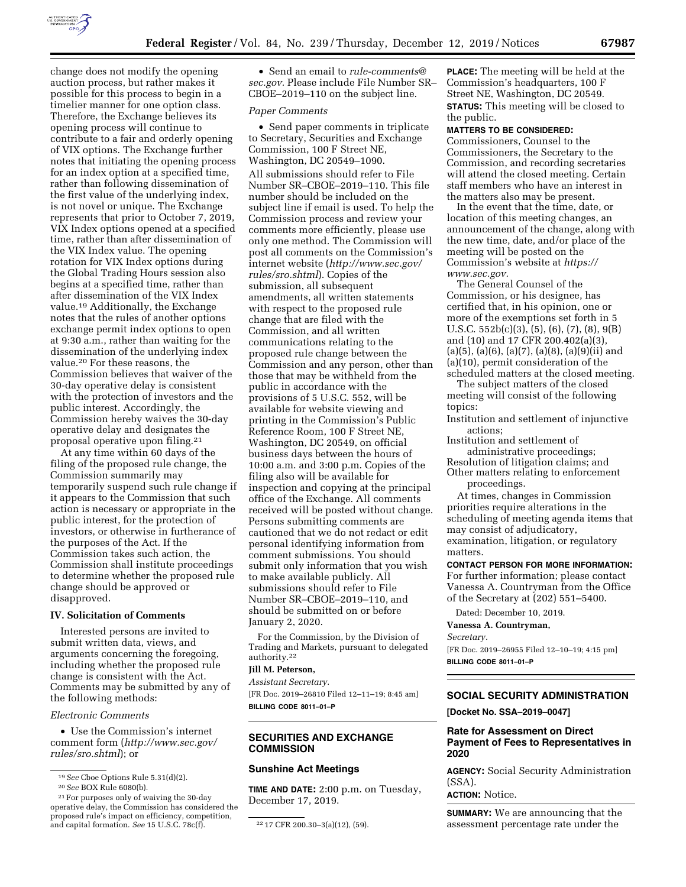

change does not modify the opening auction process, but rather makes it possible for this process to begin in a timelier manner for one option class. Therefore, the Exchange believes its opening process will continue to contribute to a fair and orderly opening of VIX options. The Exchange further notes that initiating the opening process for an index option at a specified time, rather than following dissemination of the first value of the underlying index, is not novel or unique. The Exchange represents that prior to October 7, 2019, VIX Index options opened at a specified time, rather than after dissemination of the VIX Index value. The opening rotation for VIX Index options during the Global Trading Hours session also begins at a specified time, rather than after dissemination of the VIX Index value.19 Additionally, the Exchange notes that the rules of another options exchange permit index options to open at 9:30 a.m., rather than waiting for the dissemination of the underlying index value.20 For these reasons, the Commission believes that waiver of the 30-day operative delay is consistent with the protection of investors and the public interest. Accordingly, the Commission hereby waives the 30-day operative delay and designates the proposal operative upon filing.21

At any time within 60 days of the filing of the proposed rule change, the Commission summarily may temporarily suspend such rule change if it appears to the Commission that such action is necessary or appropriate in the public interest, for the protection of investors, or otherwise in furtherance of the purposes of the Act. If the Commission takes such action, the Commission shall institute proceedings to determine whether the proposed rule change should be approved or disapproved.

# **IV. Solicitation of Comments**

Interested persons are invited to submit written data, views, and arguments concerning the foregoing, including whether the proposed rule change is consistent with the Act. Comments may be submitted by any of the following methods:

#### *Electronic Comments*

• Use the Commission's internet comment form (*[http://www.sec.gov/](http://www.sec.gov/rules/sro.shtml)  [rules/sro.shtml](http://www.sec.gov/rules/sro.shtml)*); or

• Send an email to *[rule-comments@](mailto:rule-comments@sec.gov) [sec.gov.](mailto:rule-comments@sec.gov)* Please include File Number SR– CBOE–2019–110 on the subject line.

#### *Paper Comments*

• Send paper comments in triplicate to Secretary, Securities and Exchange Commission, 100 F Street NE, Washington, DC 20549–1090.

All submissions should refer to File Number SR–CBOE–2019–110. This file number should be included on the subject line if email is used. To help the Commission process and review your comments more efficiently, please use only one method. The Commission will post all comments on the Commission's internet website (*[http://www.sec.gov/](http://www.sec.gov/rules/sro.shtml)  [rules/sro.shtml](http://www.sec.gov/rules/sro.shtml)*). Copies of the submission, all subsequent amendments, all written statements with respect to the proposed rule change that are filed with the Commission, and all written communications relating to the proposed rule change between the Commission and any person, other than those that may be withheld from the public in accordance with the provisions of 5 U.S.C. 552, will be available for website viewing and printing in the Commission's Public Reference Room, 100 F Street NE, Washington, DC 20549, on official business days between the hours of 10:00 a.m. and 3:00 p.m. Copies of the filing also will be available for inspection and copying at the principal office of the Exchange. All comments received will be posted without change. Persons submitting comments are cautioned that we do not redact or edit personal identifying information from comment submissions. You should submit only information that you wish to make available publicly. All submissions should refer to File Number SR–CBOE–2019–110, and should be submitted on or before January 2, 2020.

For the Commission, by the Division of Trading and Markets, pursuant to delegated authority.22

# **Jill M. Peterson,**

*Assistant Secretary.*  [FR Doc. 2019–26810 Filed 12–11–19; 8:45 am] **BILLING CODE 8011–01–P** 

## **SECURITIES AND EXCHANGE COMMISSION**

### **Sunshine Act Meetings**

**TIME AND DATE:** 2:00 p.m. on Tuesday, December 17, 2019.

**PLACE:** The meeting will be held at the Commission's headquarters, 100 F Street NE, Washington, DC 20549. **STATUS:** This meeting will be closed to the public.

### **MATTERS TO BE CONSIDERED:**

Commissioners, Counsel to the Commissioners, the Secretary to the Commission, and recording secretaries will attend the closed meeting. Certain staff members who have an interest in the matters also may be present.

In the event that the time, date, or location of this meeting changes, an announcement of the change, along with the new time, date, and/or place of the meeting will be posted on the Commission's website at *[https://](https://www.sec.gov) [www.sec.gov.](https://www.sec.gov)* 

The General Counsel of the Commission, or his designee, has certified that, in his opinion, one or more of the exemptions set forth in 5 U.S.C. 552b(c)(3), (5), (6), (7), (8), 9(B) and (10) and 17 CFR 200.402(a)(3),  $(a)(5)$ ,  $(a)(6)$ ,  $(a)(7)$ ,  $(a)(8)$ ,  $(a)(9)(ii)$  and (a)(10), permit consideration of the scheduled matters at the closed meeting.

The subject matters of the closed meeting will consist of the following topics:

Institution and settlement of injunctive actions;

Institution and settlement of administrative proceedings;

Resolution of litigation claims; and Other matters relating to enforcement proceedings.

At times, changes in Commission priorities require alterations in the scheduling of meeting agenda items that may consist of adjudicatory, examination, litigation, or regulatory matters.

### **CONTACT PERSON FOR MORE INFORMATION:**

For further information; please contact Vanessa A. Countryman from the Office of the Secretary at (202) 551–5400.

Dated: December 10, 2019.

**Vanessa A. Countryman,** 

*Secretary.* 

[FR Doc. 2019–26955 Filed 12–10–19; 4:15 pm] **BILLING CODE 8011–01–P** 

# **SOCIAL SECURITY ADMINISTRATION**

**[Docket No. SSA–2019–0047]** 

### **Rate for Assessment on Direct Payment of Fees to Representatives in 2020**

**AGENCY:** Social Security Administration (SSA).

**ACTION:** Notice.

**SUMMARY:** We are announcing that the assessment percentage rate under the

<sup>19</sup>*See* Cboe Options Rule 5.31(d)(2).

<sup>20</sup>*See* BOX Rule 6080(b).

<sup>21</sup>For purposes only of waiving the 30-day operative delay, the Commission has considered the proposed rule's impact on efficiency, competition, and capital formation. *See* 15 U.S.C. 78c(f). 22 17 CFR 200.30-3(a)(12), (59).